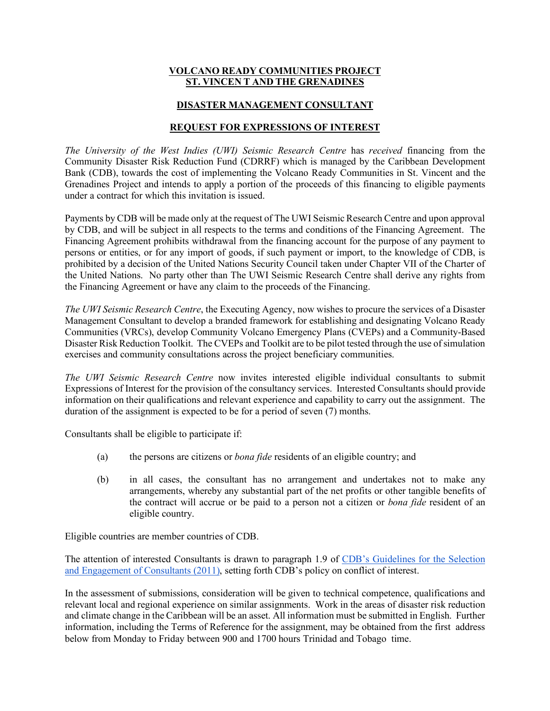#### **VOLCANO READY COMMUNITIES PROJECT ST. VINCEN T AND THE GRENADINES**

#### **DISASTER MANAGEMENT CONSULTANT**

#### **REQUEST FOR EXPRESSIONS OF INTEREST**

*The University of the West Indies (UWI) Seismic Research Centre* has *received* financing from the Community Disaster Risk Reduction Fund (CDRRF) which is managed by the Caribbean Development Bank (CDB), towards the cost of implementing the Volcano Ready Communities in St. Vincent and the Grenadines Project and intends to apply a portion of the proceeds of this financing to eligible payments under a contract for which this invitation is issued.

Payments by CDB will be made only at the request of The UWI Seismic Research Centre and upon approval by CDB, and will be subject in all respects to the terms and conditions of the Financing Agreement. The Financing Agreement prohibits withdrawal from the financing account for the purpose of any payment to persons or entities, or for any import of goods, if such payment or import, to the knowledge of CDB, is prohibited by a decision of the United Nations Security Council taken under Chapter VII of the Charter of the United Nations. No party other than The UWI Seismic Research Centre shall derive any rights from the Financing Agreement or have any claim to the proceeds of the Financing.

*The UWI Seismic Research Centre*, the Executing Agency, now wishes to procure the services of a Disaster Management Consultant to develop a branded framework for establishing and designating Volcano Ready Communities (VRCs), develop Community Volcano Emergency Plans (CVEPs) and a Community-Based Disaster Risk Reduction Toolkit. The CVEPs and Toolkit are to be pilot tested through the use of simulation exercises and community consultations across the project beneficiary communities.

*The UWI Seismic Research Centre* now invites interested eligible individual consultants to submit Expressions of Interest for the provision of the consultancy services. Interested Consultants should provide information on their qualifications and relevant experience and capability to carry out the assignment. The duration of the assignment is expected to be for a period of seven (7) months.

Consultants shall be eligible to participate if:

- (a) the persons are citizens or *bona fide* residents of an eligible country; and
- (b) in all cases, the consultant has no arrangement and undertakes not to make any arrangements, whereby any substantial part of the net profits or other tangible benefits of the contract will accrue or be paid to a person not a citizen or *bona fide* resident of an eligible country.

Eligible countries are member countries of CDB.

The attention of interested Consultants is drawn to paragraph 1.9 of CDB's Guidelines for the Selection and Engagement of Consultants (2011), setting forth CDB's policy on conflict of interest.

In the assessment of submissions, consideration will be given to technical competence, qualifications and relevant local and regional experience on similar assignments. Work in the areas of disaster risk reduction and climate change in the Caribbean will be an asset. All information must be submitted in English. Further information, including the Terms of Reference for the assignment, may be obtained from the first address below from Monday to Friday between 900 and 1700 hours Trinidad and Tobago time.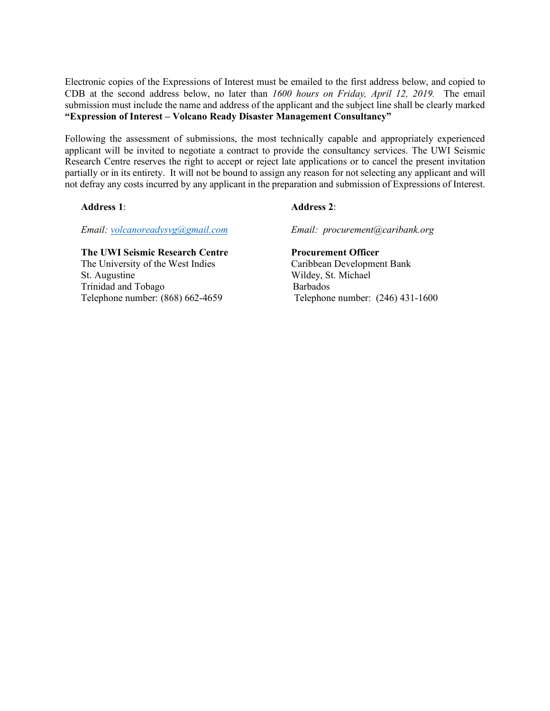Electronic copies of the Expressions of Interest must be emailed to the first address below, and copied to CDB at the second address below, no later than *1600 hours on Friday, April 12, 2019.* The email submission must include the name and address of the applicant and the subject line shall be clearly marked **"Expression of Interest – Volcano Ready Disaster Management Consultancy"**

Following the assessment of submissions, the most technically capable and appropriately experienced applicant will be invited to negotiate a contract to provide the consultancy services. The UWI Seismic Research Centre reserves the right to accept or reject late applications or to cancel the present invitation partially or in its entirety. It will not be bound to assign any reason for not selecting any applicant and will not defray any costs incurred by any applicant in the preparation and submission of Expressions of Interest.

#### **Address 1**: **Address 2**:

*Email: volcanoreadysvg@gmail.com Email: procurement@caribank.org*

# **The UWI Seismic Research Centre****Procurement Officer**  The University of the West Indies Caribbean Development Bank

Trinidad and Tobago Barbados<br>Telephone number: (868) 662-4659 Telephone

# St. Augustine Wildey, St. Michael Telephone number:  $(246)$  431-1600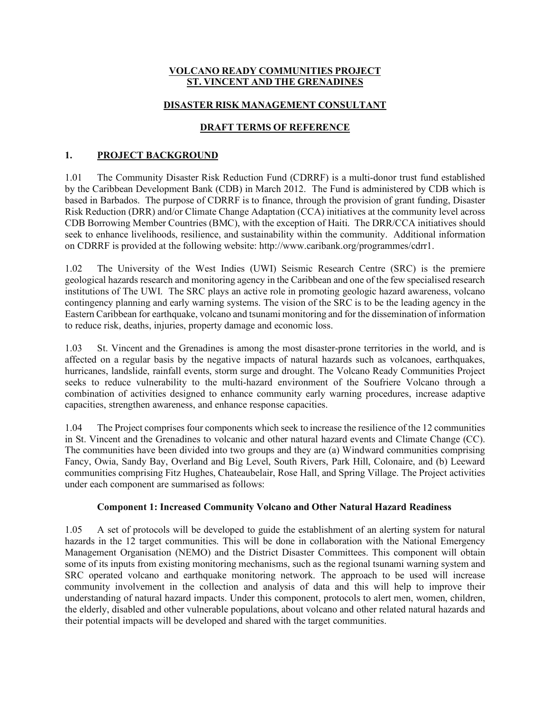#### **VOLCANO READY COMMUNITIES PROJECT ST. VINCENT AND THE GRENADINES**

#### **DISASTER RISK MANAGEMENT CONSULTANT**

## **DRAFT TERMS OF REFERENCE**

## **1. PROJECT BACKGROUND**

1.01 The Community Disaster Risk Reduction Fund (CDRRF) is a multi-donor trust fund established by the Caribbean Development Bank (CDB) in March 2012. The Fund is administered by CDB which is based in Barbados. The purpose of CDRRF is to finance, through the provision of grant funding, Disaster Risk Reduction (DRR) and/or Climate Change Adaptation (CCA) initiatives at the community level across CDB Borrowing Member Countries (BMC), with the exception of Haiti. The DRR/CCA initiatives should seek to enhance livelihoods, resilience, and sustainability within the community. Additional information on CDRRF is provided at the following website: http://www.caribank.org/programmes/cdrr1.

1.02 The University of the West Indies (UWI) Seismic Research Centre (SRC) is the premiere geological hazards research and monitoring agency in the Caribbean and one of the few specialised research institutions of The UWI. The SRC plays an active role in promoting geologic hazard awareness, volcano contingency planning and early warning systems. The vision of the SRC is to be the leading agency in the Eastern Caribbean for earthquake, volcano and tsunami monitoring and for the dissemination of information to reduce risk, deaths, injuries, property damage and economic loss.

1.03 St. Vincent and the Grenadines is among the most disaster-prone territories in the world, and is affected on a regular basis by the negative impacts of natural hazards such as volcanoes, earthquakes, hurricanes, landslide, rainfall events, storm surge and drought. The Volcano Ready Communities Project seeks to reduce vulnerability to the multi-hazard environment of the Soufriere Volcano through a combination of activities designed to enhance community early warning procedures, increase adaptive capacities, strengthen awareness, and enhance response capacities.

1.04 The Project comprises four components which seek to increase the resilience of the 12 communities in St. Vincent and the Grenadines to volcanic and other natural hazard events and Climate Change (CC). The communities have been divided into two groups and they are (a) Windward communities comprising Fancy, Owia, Sandy Bay, Overland and Big Level, South Rivers, Park Hill, Colonaire, and (b) Leeward communities comprising Fitz Hughes, Chateaubelair, Rose Hall, and Spring Village. The Project activities under each component are summarised as follows:

#### **Component 1: Increased Community Volcano and Other Natural Hazard Readiness**

1.05 A set of protocols will be developed to guide the establishment of an alerting system for natural hazards in the 12 target communities. This will be done in collaboration with the National Emergency Management Organisation (NEMO) and the District Disaster Committees. This component will obtain some of its inputs from existing monitoring mechanisms, such as the regional tsunami warning system and SRC operated volcano and earthquake monitoring network. The approach to be used will increase community involvement in the collection and analysis of data and this will help to improve their understanding of natural hazard impacts. Under this component, protocols to alert men, women, children, the elderly, disabled and other vulnerable populations, about volcano and other related natural hazards and their potential impacts will be developed and shared with the target communities.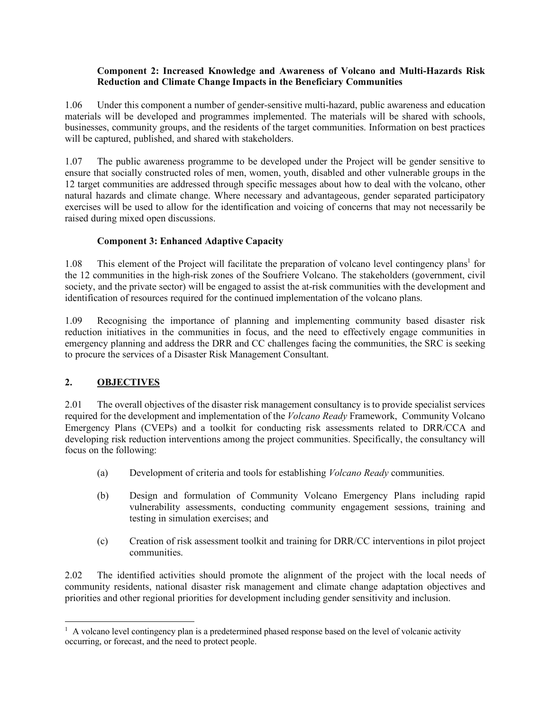#### **Component 2: Increased Knowledge and Awareness of Volcano and Multi-Hazards Risk Reduction and Climate Change Impacts in the Beneficiary Communities**

1.06 Under this component a number of gender-sensitive multi-hazard, public awareness and education materials will be developed and programmes implemented. The materials will be shared with schools, businesses, community groups, and the residents of the target communities. Information on best practices will be captured, published, and shared with stakeholders.

1.07 The public awareness programme to be developed under the Project will be gender sensitive to ensure that socially constructed roles of men, women, youth, disabled and other vulnerable groups in the 12 target communities are addressed through specific messages about how to deal with the volcano, other natural hazards and climate change. Where necessary and advantageous, gender separated participatory exercises will be used to allow for the identification and voicing of concerns that may not necessarily be raised during mixed open discussions.

#### **Component 3: Enhanced Adaptive Capacity**

1.08 This element of the Project will facilitate the preparation of volcano level contingency plans<sup>1</sup> for the 12 communities in the high-risk zones of the Soufriere Volcano. The stakeholders (government, civil society, and the private sector) will be engaged to assist the at-risk communities with the development and identification of resources required for the continued implementation of the volcano plans.

1.09 Recognising the importance of planning and implementing community based disaster risk reduction initiatives in the communities in focus, and the need to effectively engage communities in emergency planning and address the DRR and CC challenges facing the communities, the SRC is seeking to procure the services of a Disaster Risk Management Consultant.

## **2. OBJECTIVES**

2.01 The overall objectives of the disaster risk management consultancy is to provide specialist services required for the development and implementation of the *Volcano Ready* Framework, Community Volcano Emergency Plans (CVEPs) and a toolkit for conducting risk assessments related to DRR/CCA and developing risk reduction interventions among the project communities. Specifically, the consultancy will focus on the following:

- (a) Development of criteria and tools for establishing *Volcano Ready* communities.
- (b) Design and formulation of Community Volcano Emergency Plans including rapid vulnerability assessments, conducting community engagement sessions, training and testing in simulation exercises; and
- (c) Creation of risk assessment toolkit and training for DRR/CC interventions in pilot project communities.

2.02 The identified activities should promote the alignment of the project with the local needs of community residents, national disaster risk management and climate change adaptation objectives and priorities and other regional priorities for development including gender sensitivity and inclusion.

<sup>&</sup>lt;sup>1</sup> A volcano level contingency plan is a predetermined phased response based on the level of volcanic activity occurring, or forecast, and the need to protect people.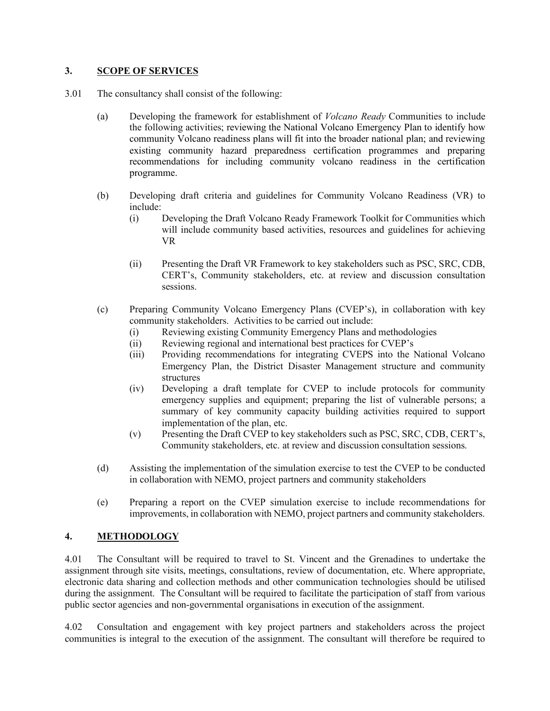#### **3. SCOPE OF SERVICES**

- 3.01 The consultancy shall consist of the following:
	- (a) Developing the framework for establishment of *Volcano Ready* Communities to include the following activities; reviewing the National Volcano Emergency Plan to identify how community Volcano readiness plans will fit into the broader national plan; and reviewing existing community hazard preparedness certification programmes and preparing recommendations for including community volcano readiness in the certification programme.
	- (b) Developing draft criteria and guidelines for Community Volcano Readiness (VR) to include:
		- (i) Developing the Draft Volcano Ready Framework Toolkit for Communities which will include community based activities, resources and guidelines for achieving VR
		- (ii) Presenting the Draft VR Framework to key stakeholders such as PSC, SRC, CDB, CERT's, Community stakeholders, etc. at review and discussion consultation sessions.
	- (c) Preparing Community Volcano Emergency Plans (CVEP's), in collaboration with key community stakeholders. Activities to be carried out include:
		- (i) Reviewing existing Community Emergency Plans and methodologies
		- (ii) Reviewing regional and international best practices for CVEP's
		- (iii) Providing recommendations for integrating CVEPS into the National Volcano Emergency Plan, the District Disaster Management structure and community structures
		- (iv) Developing a draft template for CVEP to include protocols for community emergency supplies and equipment; preparing the list of vulnerable persons; a summary of key community capacity building activities required to support implementation of the plan, etc.
		- (v) Presenting the Draft CVEP to key stakeholders such as PSC, SRC, CDB, CERT's, Community stakeholders, etc. at review and discussion consultation sessions.
	- (d) Assisting the implementation of the simulation exercise to test the CVEP to be conducted in collaboration with NEMO, project partners and community stakeholders
	- (e) Preparing a report on the CVEP simulation exercise to include recommendations for improvements, in collaboration with NEMO, project partners and community stakeholders.

## **4. METHODOLOGY**

4.01 The Consultant will be required to travel to St. Vincent and the Grenadines to undertake the assignment through site visits, meetings, consultations, review of documentation, etc. Where appropriate, electronic data sharing and collection methods and other communication technologies should be utilised during the assignment. The Consultant will be required to facilitate the participation of staff from various public sector agencies and non-governmental organisations in execution of the assignment.

4.02 Consultation and engagement with key project partners and stakeholders across the project communities is integral to the execution of the assignment. The consultant will therefore be required to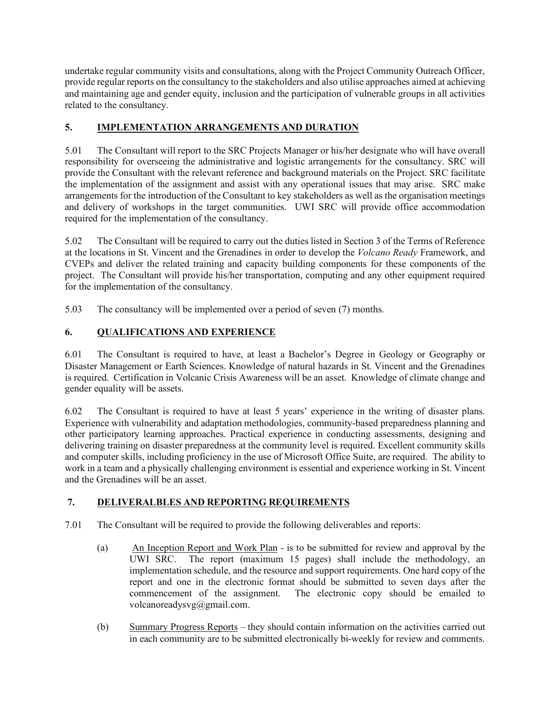undertake regular community visits and consultations, along with the Project Community Outreach Officer, provide regular reports on the consultancy to the stakeholders and also utilise approaches aimed at achieving and maintaining age and gender equity, inclusion and the participation of vulnerable groups in all activities related to the consultancy.

# **5. IMPLEMENTATION ARRANGEMENTS AND DURATION**

5.01 The Consultant will report to the SRC Projects Manager or his/her designate who will have overall responsibility for overseeing the administrative and logistic arrangements for the consultancy. SRC will provide the Consultant with the relevant reference and background materials on the Project. SRC facilitate the implementation of the assignment and assist with any operational issues that may arise. SRC make arrangements for the introduction of the Consultant to key stakeholders as well as the organisation meetings and delivery of workshops in the target communities. UWI SRC will provide office accommodation required for the implementation of the consultancy.

5.02 The Consultant will be required to carry out the duties listed in Section 3 of the Terms of Reference at the locations in St. Vincent and the Grenadines in order to develop the *Volcano Ready* Framework, and CVEPs and deliver the related training and capacity building components for these components of the project. The Consultant will provide his/her transportation, computing and any other equipment required for the implementation of the consultancy.

5.03 The consultancy will be implemented over a period of seven (7) months.

# **6. QUALIFICATIONS AND EXPERIENCE**

6.01 The Consultant is required to have, at least a Bachelor's Degree in Geology or Geography or Disaster Management or Earth Sciences. Knowledge of natural hazards in St. Vincent and the Grenadines is required. Certification in Volcanic Crisis Awareness will be an asset. Knowledge of climate change and gender equality will be assets.

6.02 The Consultant is required to have at least 5 years' experience in the writing of disaster plans. Experience with vulnerability and adaptation methodologies, community-based preparedness planning and other participatory learning approaches. Practical experience in conducting assessments, designing and delivering training on disaster preparedness at the community level is required. Excellent community skills and computer skills, including proficiency in the use of Microsoft Office Suite, are required. The ability to work in a team and a physically challenging environment is essential and experience working in St. Vincent and the Grenadines will be an asset.

# **7. DELIVERALBLES AND REPORTING REQUIREMENTS**

- 7.01 The Consultant will be required to provide the following deliverables and reports:
	- (a) An Inception Report and Work Plan is to be submitted for review and approval by the UWI SRC. The report (maximum 15 pages) shall include the methodology, an implementation schedule, and the resource and support requirements. One hard copy of the report and one in the electronic format should be submitted to seven days after the commencement of the assignment. The electronic copy should be emailed to volcanoreadysvg@gmail.com.
	- (b) Summary Progress Reports they should contain information on the activities carried out in each community are to be submitted electronically bi-weekly for review and comments.